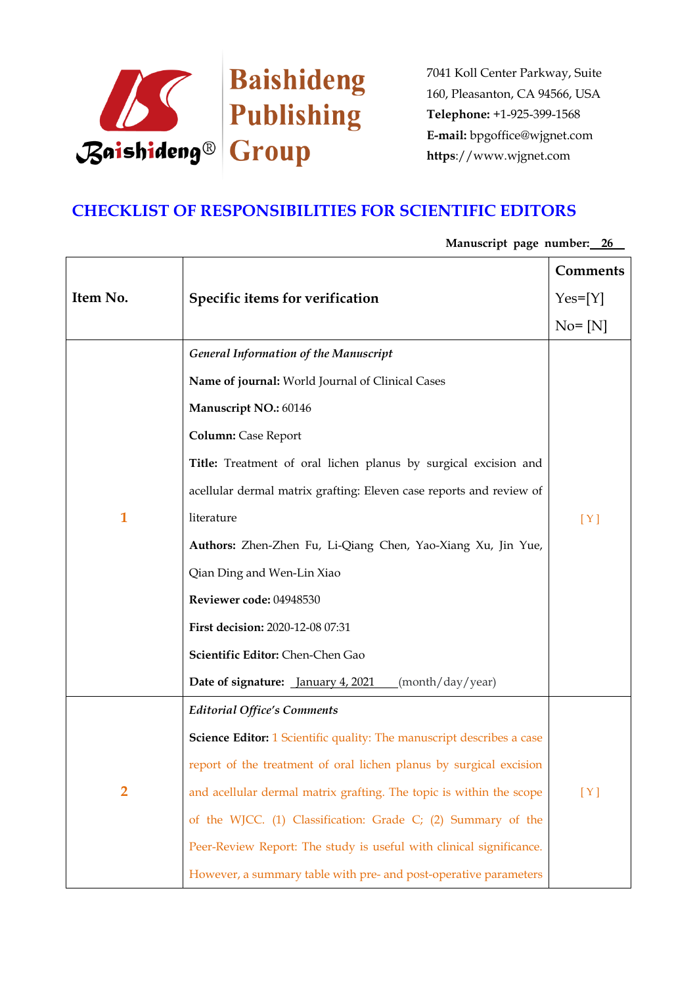

## **CHECKLIST OF RESPONSIBILITIES FOR SCIENTIFIC EDITORS**

|                |                                                                              | Comments   |
|----------------|------------------------------------------------------------------------------|------------|
| Item No.       | Specific items for verification                                              | $Yes=[Y]$  |
|                |                                                                              | $No = [N]$ |
|                | <b>General Information of the Manuscript</b>                                 |            |
|                | Name of journal: World Journal of Clinical Cases                             |            |
|                | Manuscript NO.: 60146                                                        |            |
|                | <b>Column:</b> Case Report                                                   |            |
|                | Title: Treatment of oral lichen planus by surgical excision and              |            |
|                | acellular dermal matrix grafting: Eleven case reports and review of          |            |
| $\mathbf{1}$   | literature                                                                   | [Y]        |
|                | Authors: Zhen-Zhen Fu, Li-Qiang Chen, Yao-Xiang Xu, Jin Yue,                 |            |
|                | Qian Ding and Wen-Lin Xiao                                                   |            |
|                | Reviewer code: 04948530                                                      |            |
|                | First decision: 2020-12-08 07:31                                             |            |
|                | Scientific Editor: Chen-Chen Gao                                             |            |
|                | Date of signature: <i>January 4, 2021</i><br>(month/day/year)                |            |
|                | <b>Editorial Office's Comments</b>                                           |            |
|                | <b>Science Editor:</b> 1 Scientific quality: The manuscript describes a case |            |
|                | report of the treatment of oral lichen planus by surgical excision           |            |
| $\overline{2}$ | and acellular dermal matrix grafting. The topic is within the scope          | [Y]        |
|                | of the WJCC. (1) Classification: Grade C; (2) Summary of the                 |            |
|                | Peer-Review Report: The study is useful with clinical significance.          |            |
|                | However, a summary table with pre- and post-operative parameters             |            |

**Manuscript page number: 26**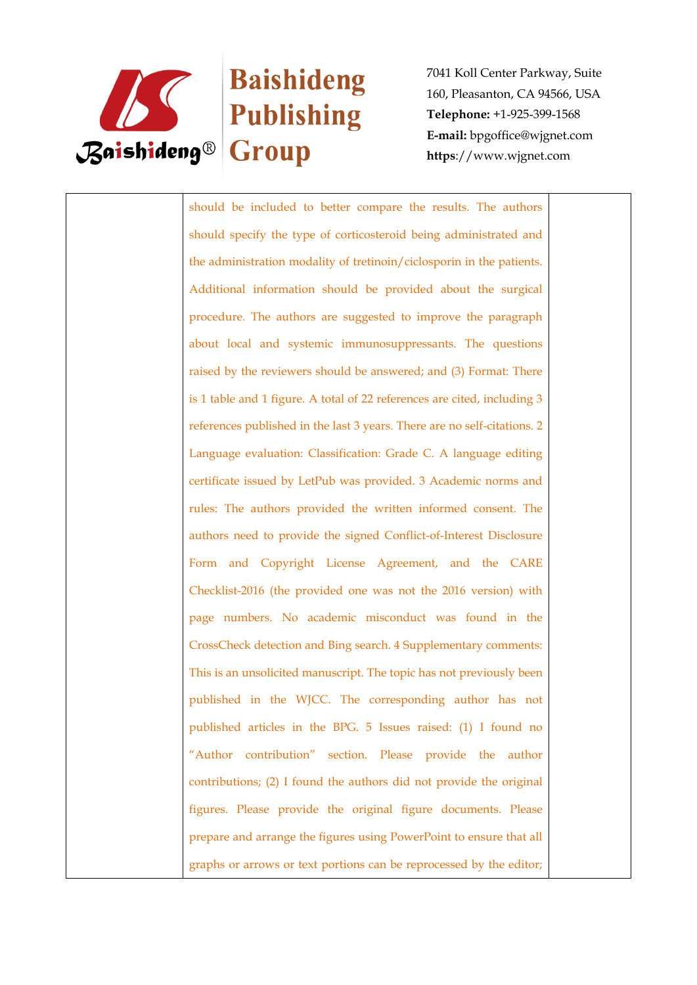

# Baishideng

7041 Koll Center Parkway, Suite 160, Pleasanton, CA 94566, USA **Telephone:** +1-925-399-1568 **E-mail:** bpgoffice@wjgnet.com **https**://www.wjgnet.com

should be included to better compare the results. The authors should specify the type of corticosteroid being administrated and the administration modality of tretinoin/ciclosporin in the patients. Additional information should be provided about the surgical procedure. The authors are suggested to improve the paragraph about local and systemic immunosuppressants. The questions raised by the reviewers should be answered; and (3) Format: There is 1 table and 1 figure. A total of 22 references are cited, including 3 references published in the last 3 years. There are no self-citations. 2 Language evaluation: Classification: Grade C. A language editing certificate issued by LetPub was provided. 3 Academic norms and rules: The authors provided the written informed consent. The authors need to provide the signed Conflict-of-Interest Disclosure Form and Copyright License Agreement, and the CARE Checklist-2016 (the provided one was not the 2016 version) with page numbers. No academic misconduct was found in the CrossCheck detection and Bing search. 4 Supplementary comments: This is an unsolicited manuscript. The topic has not previously been published in the WJCC. The corresponding author has not published articles in the BPG. 5 Issues raised: (1) I found no "Author contribution" section. Please provide the author contributions; (2) I found the authors did not provide the original figures. Please provide the original figure documents. Please prepare and arrange the figures using PowerPoint to ensure that all graphs or arrows or text portions can be reprocessed by the editor;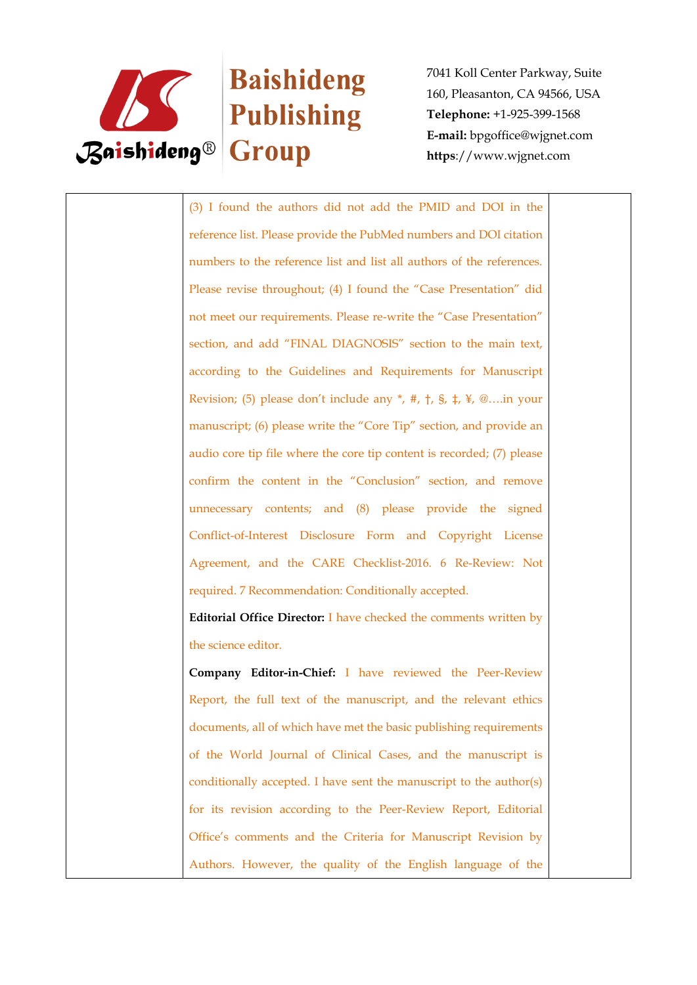

# Baishideng

7041 Koll Center Parkway, Suite 160, Pleasanton, CA 94566, USA **Telephone:** +1-925-399-1568 **E-mail:** bpgoffice@wjgnet.com **https**://www.wjgnet.com

(3) I found the authors did not add the PMID and DOI in the reference list. Please provide the PubMed numbers and DOI citation numbers to the reference list and list all authors of the references. Please revise throughout; (4) I found the "Case Presentation" did not meet our requirements. Please re-write the "Case Presentation" section, and add "FINAL DIAGNOSIS" section to the main text, according to the Guidelines and Requirements for Manuscript Revision; (5) please don't include any  $*$ , #,  $\dagger$ ,  $\dagger$ ,  $\dagger$ ,  $\dagger$ ,  $\dagger$ ,  $\mathcal{Q}$ ....in your manuscript; (6) please write the "Core Tip" section, and provide an audio core tip file where the core tip content is recorded; (7) please confirm the content in the "Conclusion" section, and remove unnecessary contents; and (8) please provide the signed Conflict-of-Interest Disclosure Form and Copyright License Agreement, and the CARE Checklist-2016. 6 Re-Review: Not required. 7 Recommendation: Conditionally accepted.

**Editorial Office Director:** I have checked the comments written by the science editor.

**Company Editor-in-Chief:** I have reviewed the Peer-Review Report, the full text of the manuscript, and the relevant ethics documents, all of which have met the basic publishing requirements of the World Journal of Clinical Cases, and the manuscript is conditionally accepted. I have sent the manuscript to the author(s) for its revision according to the Peer-Review Report, Editorial Office's comments and the Criteria for Manuscript Revision by Authors. However, the quality of the English language of the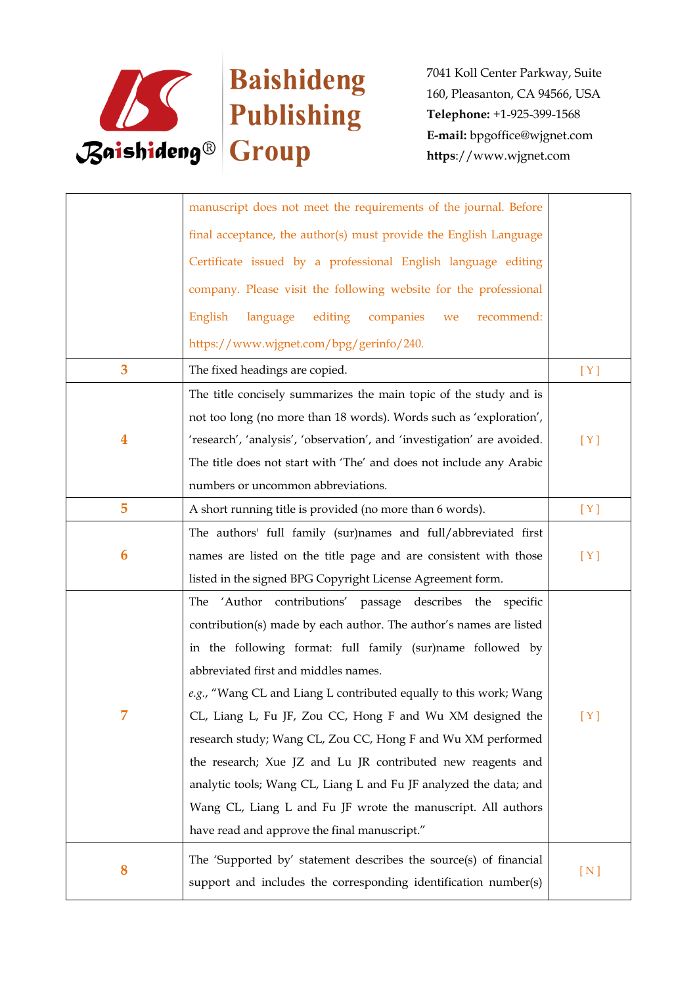

|   | manuscript does not meet the requirements of the journal. Before        |     |
|---|-------------------------------------------------------------------------|-----|
|   | final acceptance, the author(s) must provide the English Language       |     |
|   | Certificate issued by a professional English language editing           |     |
|   | company. Please visit the following website for the professional        |     |
|   | editing<br>English<br>language<br>companies<br>recommend:<br>we         |     |
|   | https://www.wjgnet.com/bpg/gerinfo/240.                                 |     |
|   |                                                                         |     |
| 3 | The fixed headings are copied.                                          | [Y] |
|   | The title concisely summarizes the main topic of the study and is       |     |
|   | not too long (no more than 18 words). Words such as 'exploration',      |     |
| 4 | 'research', 'analysis', 'observation', and 'investigation' are avoided. | [Y] |
|   | The title does not start with 'The' and does not include any Arabic     |     |
|   | numbers or uncommon abbreviations.                                      |     |
| 5 | A short running title is provided (no more than 6 words).               | [Y] |
|   | The authors' full family (sur)names and full/abbreviated first          |     |
| 6 | names are listed on the title page and are consistent with those        | [Y] |
|   | listed in the signed BPG Copyright License Agreement form.              |     |
|   | 'Author contributions' passage describes the specific<br>The            |     |
|   | contribution(s) made by each author. The author's names are listed      |     |
|   | in the following format: full family (sur)name followed by              |     |
|   | abbreviated first and middles names.                                    |     |
|   | e.g., "Wang CL and Liang L contributed equally to this work; Wang       |     |
|   | CL, Liang L, Fu JF, Zou CC, Hong F and Wu XM designed the               | [Y] |
|   | research study; Wang CL, Zou CC, Hong F and Wu XM performed             |     |
|   | the research; Xue JZ and Lu JR contributed new reagents and             |     |
|   | analytic tools; Wang CL, Liang L and Fu JF analyzed the data; and       |     |
|   | Wang CL, Liang L and Fu JF wrote the manuscript. All authors            |     |
|   |                                                                         |     |
|   | have read and approve the final manuscript."                            |     |
| 8 | The 'Supported by' statement describes the source(s) of financial       | [N] |
|   | support and includes the corresponding identification number(s)         |     |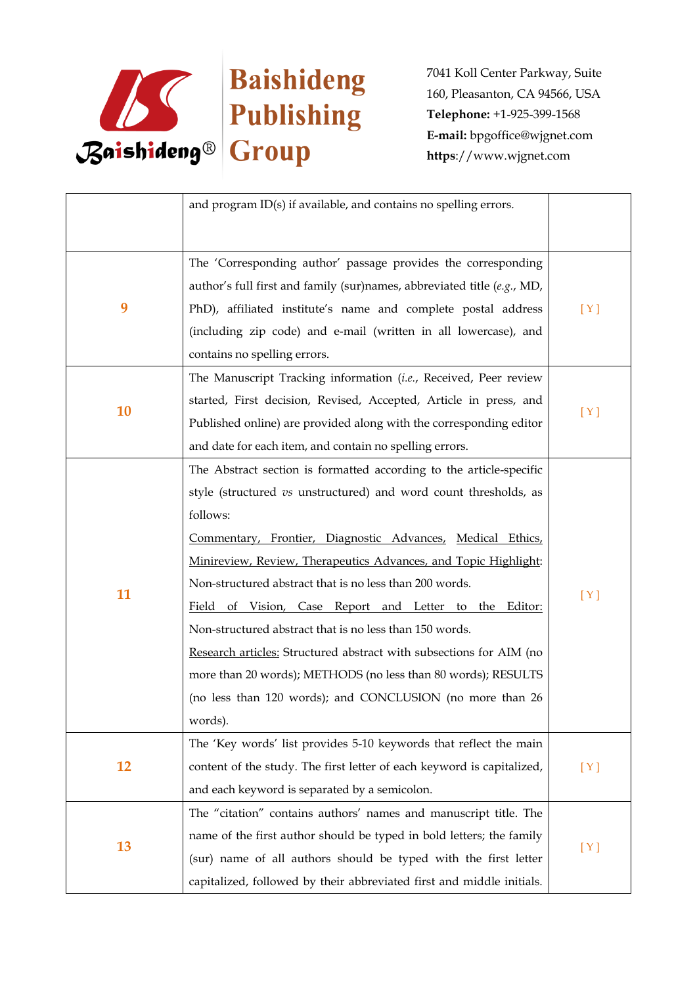

|           | and program ID(s) if available, and contains no spelling errors.                                                                                                                                                                                                                                                                                                                                                                                                                                                                                                                                                                                                                     |     |
|-----------|--------------------------------------------------------------------------------------------------------------------------------------------------------------------------------------------------------------------------------------------------------------------------------------------------------------------------------------------------------------------------------------------------------------------------------------------------------------------------------------------------------------------------------------------------------------------------------------------------------------------------------------------------------------------------------------|-----|
| 9         | The 'Corresponding author' passage provides the corresponding<br>author's full first and family (sur)names, abbreviated title (e.g., MD,<br>PhD), affiliated institute's name and complete postal address<br>(including zip code) and e-mail (written in all lowercase), and<br>contains no spelling errors.                                                                                                                                                                                                                                                                                                                                                                         | [Y] |
| 10        | The Manuscript Tracking information (i.e., Received, Peer review<br>started, First decision, Revised, Accepted, Article in press, and<br>Published online) are provided along with the corresponding editor<br>and date for each item, and contain no spelling errors.                                                                                                                                                                                                                                                                                                                                                                                                               | [Y] |
| 11        | The Abstract section is formatted according to the article-specific<br>style (structured vs unstructured) and word count thresholds, as<br>follows:<br>Commentary, Frontier, Diagnostic Advances, Medical Ethics,<br>Minireview, Review, Therapeutics Advances, and Topic Highlight:<br>Non-structured abstract that is no less than 200 words.<br>Field of Vision, Case Report and Letter to the Editor:<br>Non-structured abstract that is no less than 150 words.<br>Research articles: Structured abstract with subsections for AIM (no<br>more than 20 words); METHODS (no less than 80 words); RESULTS<br>(no less than 120 words); and CONCLUSION (no more than 26<br>words). | [Y] |
| <b>12</b> | The 'Key words' list provides 5-10 keywords that reflect the main<br>content of the study. The first letter of each keyword is capitalized,<br>and each keyword is separated by a semicolon.                                                                                                                                                                                                                                                                                                                                                                                                                                                                                         | [Y] |
| 13        | The "citation" contains authors' names and manuscript title. The<br>name of the first author should be typed in bold letters; the family<br>(sur) name of all authors should be typed with the first letter<br>capitalized, followed by their abbreviated first and middle initials.                                                                                                                                                                                                                                                                                                                                                                                                 | [Y] |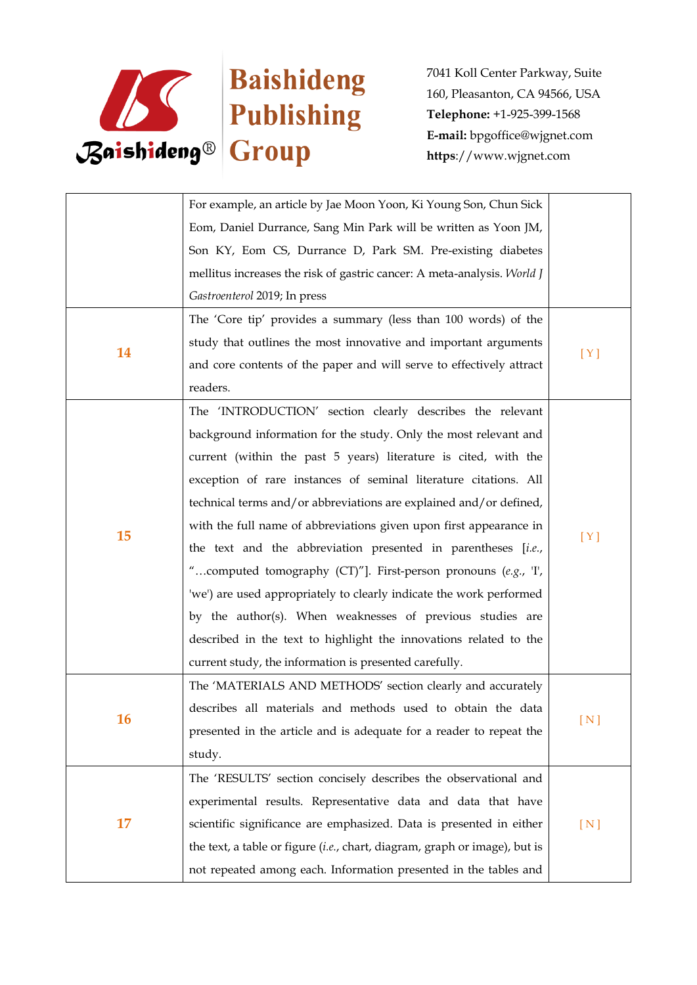

|    | For example, an article by Jae Moon Yoon, Ki Young Son, Chun Sick          |     |
|----|----------------------------------------------------------------------------|-----|
|    | Eom, Daniel Durrance, Sang Min Park will be written as Yoon JM,            |     |
|    | Son KY, Eom CS, Durrance D, Park SM. Pre-existing diabetes                 |     |
|    | mellitus increases the risk of gastric cancer: A meta-analysis. World J    |     |
|    | Gastroenterol 2019; In press                                               |     |
|    | The 'Core tip' provides a summary (less than 100 words) of the             |     |
|    | study that outlines the most innovative and important arguments            |     |
| 14 | and core contents of the paper and will serve to effectively attract       | [Y] |
|    | readers.                                                                   |     |
|    | The 'INTRODUCTION' section clearly describes the relevant                  |     |
|    | background information for the study. Only the most relevant and           |     |
|    | current (within the past 5 years) literature is cited, with the            |     |
|    | exception of rare instances of seminal literature citations. All           | [Y] |
|    | technical terms and/or abbreviations are explained and/or defined,         |     |
|    | with the full name of abbreviations given upon first appearance in         |     |
| 15 | the text and the abbreviation presented in parentheses [i.e.,              |     |
|    | "computed tomography (CT)"]. First-person pronouns (e.g., 'I',             |     |
|    | 'we') are used appropriately to clearly indicate the work performed        |     |
|    | by the author(s). When weaknesses of previous studies are                  |     |
|    | described in the text to highlight the innovations related to the          |     |
|    | current study, the information is presented carefully.                     |     |
|    | The 'MATERIALS AND METHODS' section clearly and accurately                 |     |
| 16 | describes all materials and methods used to obtain the data                |     |
|    | presented in the article and is adequate for a reader to repeat the        | [N] |
|    | study.                                                                     |     |
| 17 | The 'RESULTS' section concisely describes the observational and            |     |
|    | experimental results. Representative data and data that have               |     |
|    | scientific significance are emphasized. Data is presented in either        | [N] |
|    | the text, a table or figure (i.e., chart, diagram, graph or image), but is |     |
|    | not repeated among each. Information presented in the tables and           |     |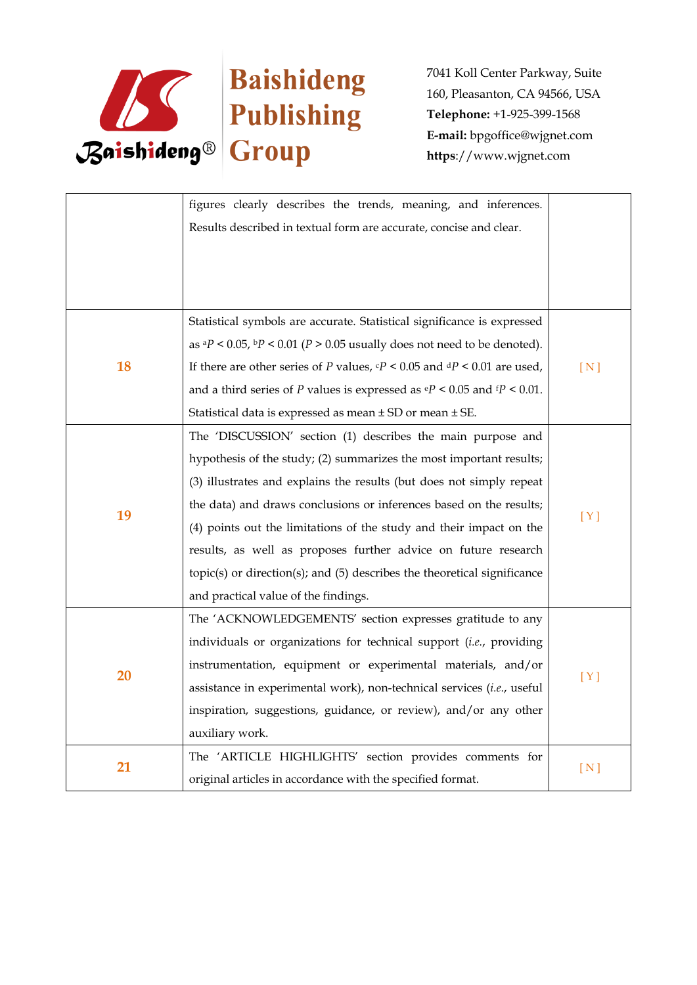

|    | figures clearly describes the trends, meaning, and inferences.                                 |     |
|----|------------------------------------------------------------------------------------------------|-----|
|    | Results described in textual form are accurate, concise and clear.                             |     |
|    |                                                                                                |     |
|    |                                                                                                |     |
|    |                                                                                                |     |
|    | Statistical symbols are accurate. Statistical significance is expressed                        |     |
|    | as ${}^{a}P$ < 0.05, ${}^{b}P$ < 0.01 (P > 0.05 usually does not need to be denoted).          |     |
| 18 | If there are other series of P values, $\mathbf{c}P < 0.05$ and $\mathbf{d}P < 0.01$ are used, | [N] |
|    | and a third series of P values is expressed as $\mathbb{P}$ < 0.05 and $\mathbb{P}$ < 0.01.    |     |
|    | Statistical data is expressed as mean ± SD or mean ± SE.                                       |     |
|    | The 'DISCUSSION' section (1) describes the main purpose and                                    |     |
|    | hypothesis of the study; (2) summarizes the most important results;                            |     |
|    | (3) illustrates and explains the results (but does not simply repeat                           |     |
|    | the data) and draws conclusions or inferences based on the results;                            |     |
| 19 | (4) points out the limitations of the study and their impact on the                            | [Y] |
|    | results, as well as proposes further advice on future research                                 |     |
|    | $topic(s)$ or direction(s); and $(5)$ describes the theoretical significance                   |     |
|    | and practical value of the findings.                                                           |     |
|    | The 'ACKNOWLEDGEMENTS' section expresses gratitude to any                                      |     |
| 20 | individuals or organizations for technical support (i.e., providing                            |     |
|    | instrumentation, equipment or experimental materials, and/or                                   |     |
|    | assistance in experimental work), non-technical services (i.e., useful                         | [Y] |
|    | inspiration, suggestions, guidance, or review), and/or any other                               |     |
|    | auxiliary work.                                                                                |     |
| 21 | The 'ARTICLE HIGHLIGHTS' section provides comments for                                         |     |
|    | original articles in accordance with the specified format.                                     | [N] |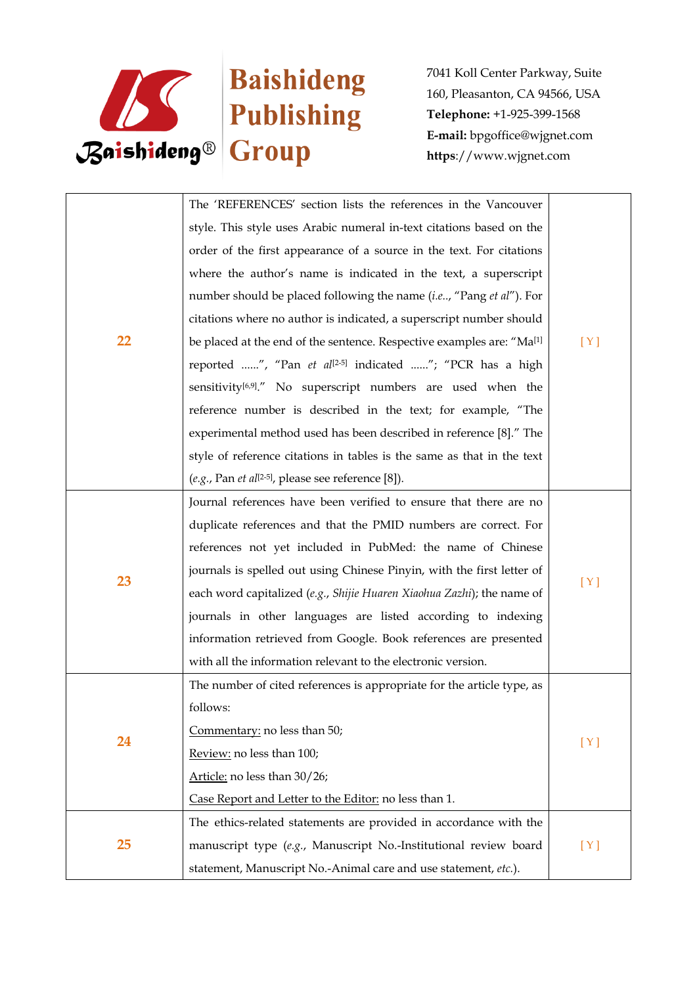

|    | The 'REFERENCES' section lists the references in the Vancouver                    |     |
|----|-----------------------------------------------------------------------------------|-----|
|    | style. This style uses Arabic numeral in-text citations based on the              |     |
|    | order of the first appearance of a source in the text. For citations              |     |
|    | where the author's name is indicated in the text, a superscript                   |     |
|    | number should be placed following the name (i.e, "Pang et al"). For               |     |
|    | citations where no author is indicated, a superscript number should               |     |
| 22 | be placed at the end of the sentence. Respective examples are: "Ma <sup>[1]</sup> | [Y] |
|    | reported ", "Pan et al <sup>[2-5]</sup> indicated "; "PCR has a high              |     |
|    | sensitivity <sup>[6,9]</sup> ." No superscript numbers are used when the          |     |
|    | reference number is described in the text; for example, "The                      |     |
|    | experimental method used has been described in reference [8]." The                |     |
|    | style of reference citations in tables is the same as that in the text            |     |
|    | (e.g., Pan et al <sup>[2-5]</sup> , please see reference [8]).                    |     |
|    | Journal references have been verified to ensure that there are no                 |     |
|    | duplicate references and that the PMID numbers are correct. For                   |     |
|    | references not yet included in PubMed: the name of Chinese                        |     |
|    | journals is spelled out using Chinese Pinyin, with the first letter of            |     |
| 23 | each word capitalized (e.g., Shijie Huaren Xiaohua Zazhi); the name of            | [Y] |
|    | journals in other languages are listed according to indexing                      |     |
|    | information retrieved from Google. Book references are presented                  |     |
|    | with all the information relevant to the electronic version.                      |     |
|    | The number of cited references is appropriate for the article type, as            |     |
|    | follows:                                                                          |     |
|    | Commentary: no less than 50;                                                      |     |
| 24 | Review: no less than 100;                                                         | [Y] |
|    | Article: no less than 30/26;                                                      |     |
|    | Case Report and Letter to the Editor: no less than 1.                             |     |
|    | The ethics-related statements are provided in accordance with the                 |     |
| 25 | manuscript type (e.g., Manuscript No.-Institutional review board                  | [Y] |
|    | statement, Manuscript No.-Animal care and use statement, etc.).                   |     |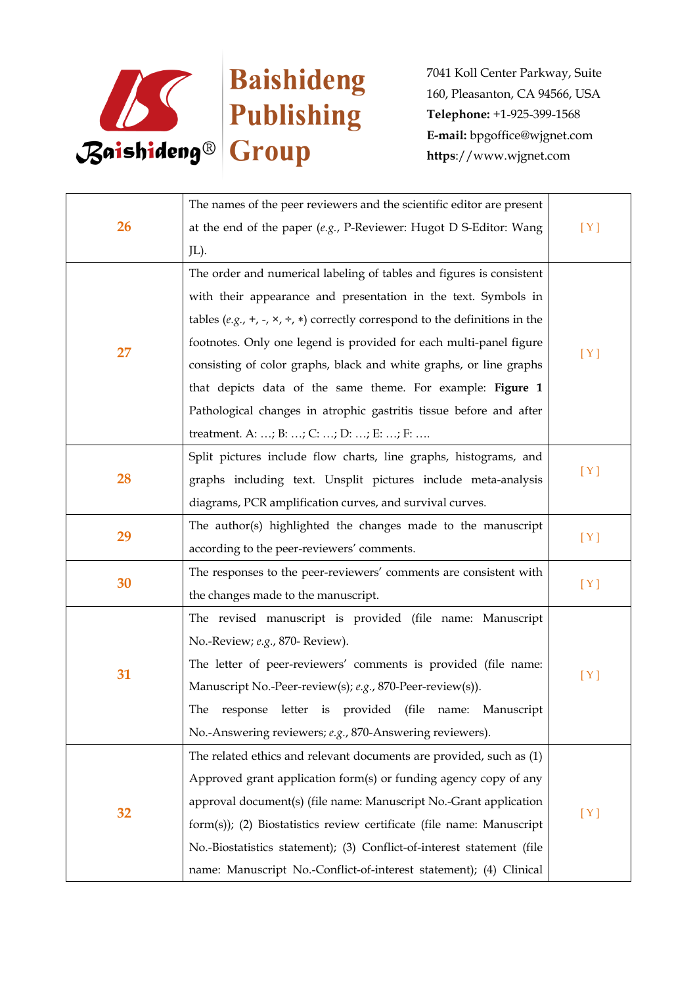

| <b>26</b> | The names of the peer reviewers and the scientific editor are present                        |     |
|-----------|----------------------------------------------------------------------------------------------|-----|
|           | at the end of the paper $(e.g., P\text{-}Reviewer: Hugot D \text{ S-Editor: Wang})$          | [Y] |
|           | JL).                                                                                         |     |
|           | The order and numerical labeling of tables and figures is consistent                         |     |
|           | with their appearance and presentation in the text. Symbols in                               |     |
|           | tables (e.g., +, -, $\times$ , $\div$ , $*$ ) correctly correspond to the definitions in the |     |
| 27        | footnotes. Only one legend is provided for each multi-panel figure                           |     |
|           | consisting of color graphs, black and white graphs, or line graphs                           | [Y] |
|           | that depicts data of the same theme. For example: Figure 1                                   |     |
|           | Pathological changes in atrophic gastritis tissue before and after                           |     |
|           | treatment. A: ; B: ; C: ; D: ; E: ; F:                                                       |     |
|           | Split pictures include flow charts, line graphs, histograms, and                             |     |
| 28        | graphs including text. Unsplit pictures include meta-analysis                                | [Y] |
|           | diagrams, PCR amplification curves, and survival curves.                                     |     |
|           | The author(s) highlighted the changes made to the manuscript                                 |     |
| 29        | according to the peer-reviewers' comments.                                                   | [Y] |
|           | The responses to the peer-reviewers' comments are consistent with                            |     |
| 30        | the changes made to the manuscript.                                                          | [Y] |
|           | The revised manuscript is provided (file name: Manuscript                                    |     |
|           | No.-Review; e.g., 870- Review).                                                              |     |
|           | The letter of peer-reviewers' comments is provided (file name:                               |     |
| 31        | Manuscript No.-Peer-review(s); e.g., 870-Peer-review(s)).                                    | [Y] |
|           | The response letter is provided (file name: Manuscript                                       |     |
|           | No.-Answering reviewers; e.g., 870-Answering reviewers).                                     |     |
| 32        | The related ethics and relevant documents are provided, such as (1)                          |     |
|           | Approved grant application form(s) or funding agency copy of any                             |     |
|           | approval document(s) (file name: Manuscript No.-Grant application                            |     |
|           | form(s)); (2) Biostatistics review certificate (file name: Manuscript                        | [Y] |
|           | No.-Biostatistics statement); (3) Conflict-of-interest statement (file                       |     |
|           | name: Manuscript No.-Conflict-of-interest statement); (4) Clinical                           |     |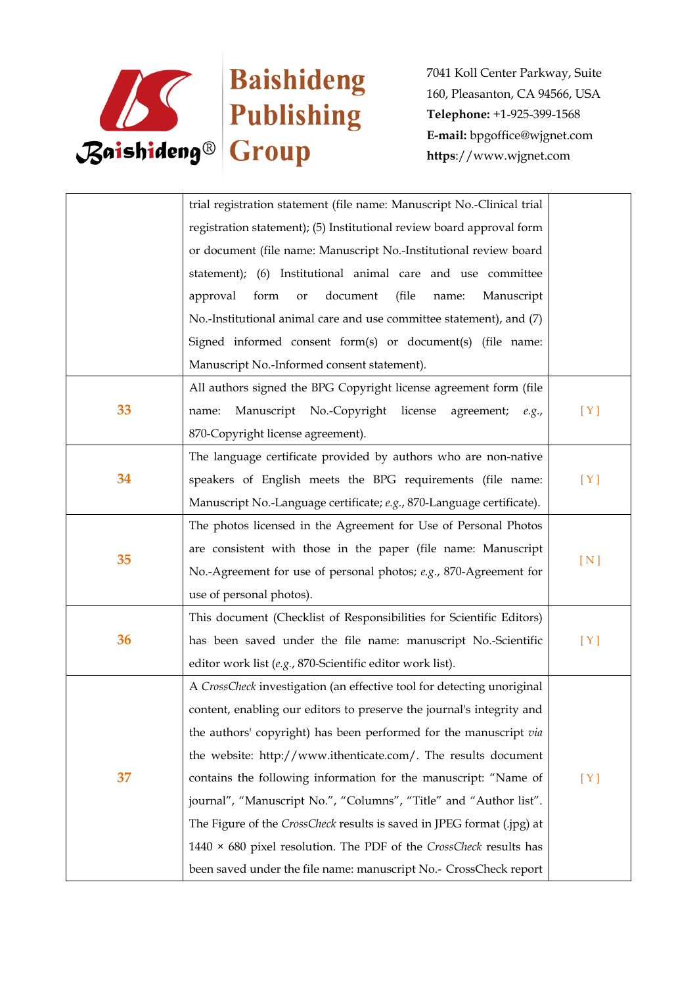

|    | trial registration statement (file name: Manuscript No.-Clinical trial    |     |
|----|---------------------------------------------------------------------------|-----|
|    | registration statement); (5) Institutional review board approval form     |     |
|    | or document (file name: Manuscript No.-Institutional review board         |     |
|    | statement); (6) Institutional animal care and use committee               |     |
|    | approval<br>form<br>document<br>(file<br>Manuscript<br>or<br>name:        |     |
|    | No.-Institutional animal care and use committee statement), and (7)       |     |
|    | Signed informed consent form(s) or document(s) (file name:                |     |
|    | Manuscript No.-Informed consent statement).                               |     |
|    | All authors signed the BPG Copyright license agreement form (file         |     |
| 33 | Manuscript No.-Copyright<br>license<br>agreement;<br>name:<br>e.g.,       | [Y] |
|    | 870-Copyright license agreement).                                         |     |
|    | The language certificate provided by authors who are non-native           |     |
| 34 | speakers of English meets the BPG requirements (file name:                | [Y] |
|    | Manuscript No.-Language certificate; e.g., 870-Language certificate).     |     |
|    | The photos licensed in the Agreement for Use of Personal Photos           |     |
| 35 | are consistent with those in the paper (file name: Manuscript             |     |
|    | No.-Agreement for use of personal photos; e.g., 870-Agreement for         | [N] |
|    | use of personal photos).                                                  |     |
|    | This document (Checklist of Responsibilities for Scientific Editors)      |     |
| 36 | has been saved under the file name: manuscript No.-Scientific             | [Y] |
|    | editor work list (e.g., 870-Scientific editor work list).                 |     |
| 37 | A CrossCheck investigation (an effective tool for detecting unoriginal    |     |
|    | content, enabling our editors to preserve the journal's integrity and     |     |
|    | the authors' copyright) has been performed for the manuscript via         |     |
|    | the website: http://www.ithenticate.com/. The results document            |     |
|    | contains the following information for the manuscript: "Name of           | [Y] |
|    | journal", "Manuscript No.", "Columns", "Title" and "Author list".         |     |
|    | The Figure of the CrossCheck results is saved in JPEG format (.jpg) at    |     |
|    | 1440 $\times$ 680 pixel resolution. The PDF of the CrossCheck results has |     |
|    | been saved under the file name: manuscript No.- CrossCheck report         |     |